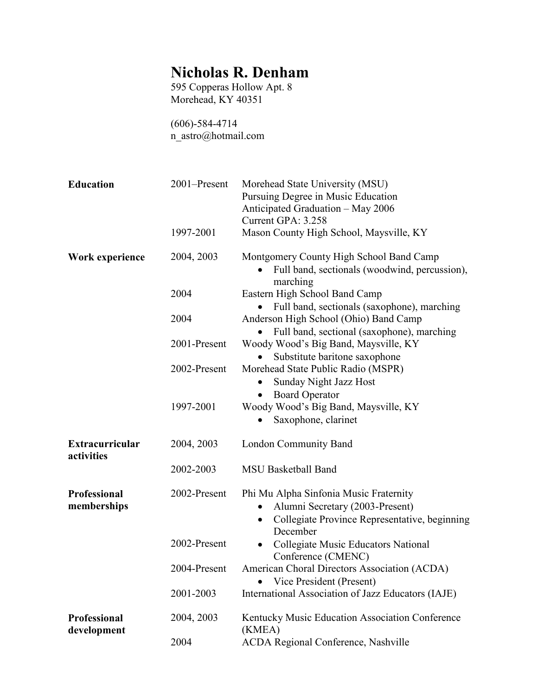## Nicholas R. Denham

595 Copperas Hollow Apt. 8 Morehead, KY 40351

(606)-584-4714 n\_astro@hotmail.com

| <b>Education</b>                     | 2001-Present | Morehead State University (MSU)<br>Pursuing Degree in Music Education<br>Anticipated Graduation - May 2006<br>Current GPA: 3.258                    |
|--------------------------------------|--------------|-----------------------------------------------------------------------------------------------------------------------------------------------------|
|                                      | 1997-2001    | Mason County High School, Maysville, KY                                                                                                             |
| Work experience                      | 2004, 2003   | Montgomery County High School Band Camp<br>Full band, sectionals (woodwind, percussion),<br>marching                                                |
|                                      | 2004         | Eastern High School Band Camp<br>Full band, sectionals (saxophone), marching                                                                        |
|                                      | 2004         | Anderson High School (Ohio) Band Camp<br>Full band, sectional (saxophone), marching                                                                 |
|                                      | 2001-Present | Woody Wood's Big Band, Maysville, KY<br>Substitute baritone saxophone                                                                               |
|                                      | 2002-Present | Morehead State Public Radio (MSPR)<br>Sunday Night Jazz Host                                                                                        |
|                                      | 1997-2001    | <b>Board Operator</b><br>$\bullet$<br>Woody Wood's Big Band, Maysville, KY<br>Saxophone, clarinet                                                   |
| <b>Extracurricular</b><br>activities | 2004, 2003   | London Community Band                                                                                                                               |
|                                      | 2002-2003    | <b>MSU Basketball Band</b>                                                                                                                          |
| <b>Professional</b><br>memberships   | 2002-Present | Phi Mu Alpha Sinfonia Music Fraternity<br>Alumni Secretary (2003-Present)<br>Collegiate Province Representative, beginning<br>$\bullet$<br>December |
|                                      | 2002-Present | Collegiate Music Educators National<br>$\bullet$<br>Conference (CMENC)                                                                              |
|                                      | 2004-Present | American Choral Directors Association (ACDA)<br>Vice President (Present)<br>$\bullet$                                                               |
|                                      | 2001-2003    | International Association of Jazz Educators (IAJE)                                                                                                  |
| <b>Professional</b><br>development   | 2004, 2003   | Kentucky Music Education Association Conference<br>(KMEA)                                                                                           |
|                                      | 2004         | <b>ACDA Regional Conference, Nashville</b>                                                                                                          |